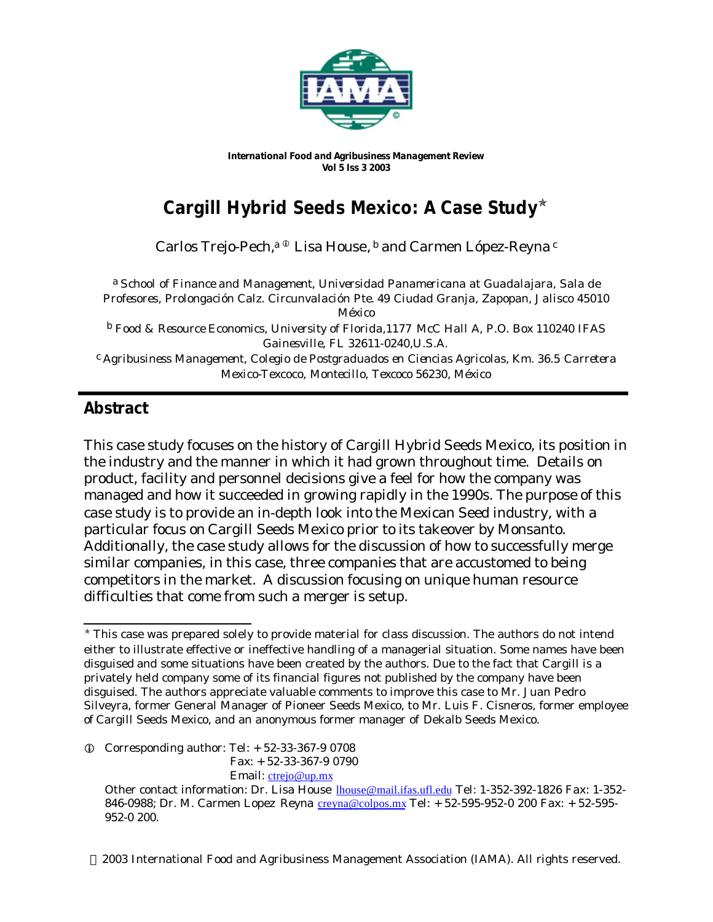

*International Food and Agribusiness Management Review Vol 5 Iss 3 2003*

# **Cargill Hybrid Seeds Mexico: A Case Study**<sup>ò</sup>

Carlos Trejo-Pech,<sup>a ©</sup> Lisa House, <sup>b</sup> and Carmen López-Reyna <sup>c</sup>

a *School of Finance and Management, Universidad Panamericana at Guadalajara, Sala de Profesores, Prolongación Calz. Circunvalación Pte. 49 Ciudad Granja, Zapopan, Jalisco 45010 México*

b *Food & Resource Economics, University of Florida,1177 McC Hall A, P.O. Box 110240 IFAS Gainesville, FL 32611-0240,U.S.A.*

c *Agribusiness Management, Colegio de Postgraduados en Ciencias Agricolas, Km. 36.5 Carretera Mexico-Texcoco, Montecillo, Texcoco 56230, México*

# **Abstract**

This case study focuses on the history of Cargill Hybrid Seeds Mexico, its position in the industry and the manner in which it had grown throughout time. Details on product, facility and personnel decisions give a feel for how the company was managed and how it succeeded in growing rapidly in the 1990s. The purpose of this case study is to provide an in-depth look into the Mexican Seed industry, with a particular focus on Cargill Seeds Mexico prior to its takeover by Monsanto. Additionally, the case study allows for the discussion of how to successfully merge similar companies, in this case, three companies that are accustomed to being competitors in the market. A discussion focusing on unique human resource difficulties that come from such a merger is setup.

Fax: + 52-33-367-9 0790

Email: ctrejo@up.mx

2003 International Food and Agribusiness Management Association (IAMA). All rights reserved.

l \* This case was prepared solely to provide material for class discussion. The authors do not intend either to illustrate effective or ineffective handling of a managerial situation. Some names have been disguised and some situations have been created by the authors. Due to the fact that Cargill is a privately held company some of its financial figures not published by the company have been disguised. The authors appreciate valuable comments to improve this case to Mr. Juan Pedro Silveyra, former General Manager of Pioneer Seeds Mexico, to Mr. Luis F. Cisneros, former employee of Cargill Seeds Mexico, and an anonymous former manager of Dekalb Seeds Mexico.

 $Q$  Corresponding author: Tel:  $+52-33-367-90708$ 

Other contact information: Dr. Lisa House lhouse@mail.ifas.ufl.edu Tel: 1-352-392-1826 Fax: 1-352- 846-0988; Dr. M. Carmen Lopez Reyna creyna@colpos.mx Tel: + 52-595-952-0 200 Fax: + 52-595-952-0 200.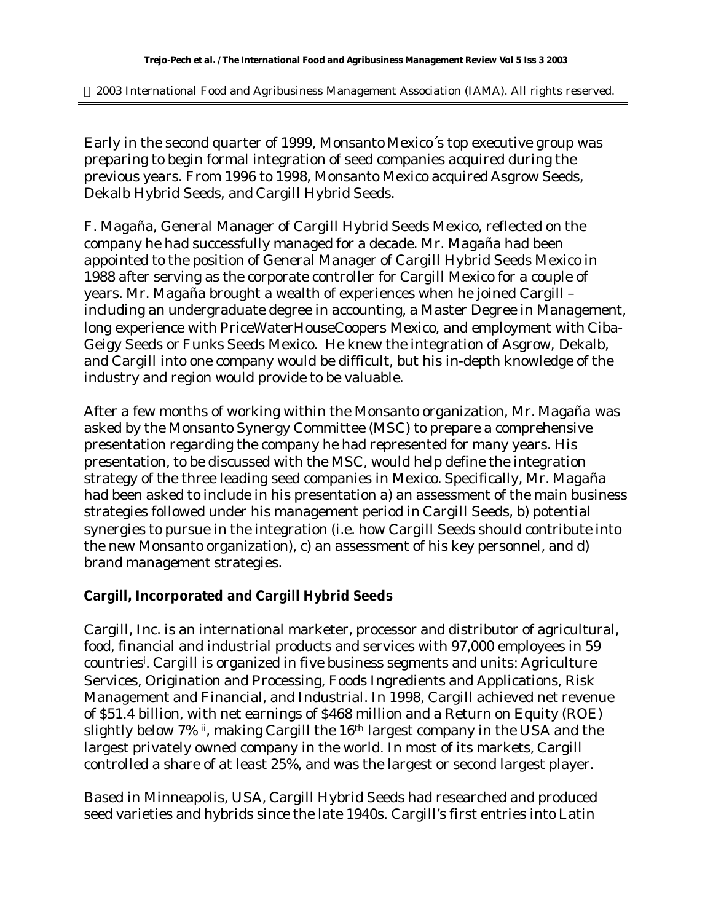2003 International Food and Agribusiness Management Association (IAMA). All rights reserved.

Early in the second quarter of 1999, Monsanto Mexico´s top executive group was preparing to begin formal integration of seed companies acquired during the previous years. From 1996 to 1998, Monsanto Mexico acquired Asgrow Seeds, Dekalb Hybrid Seeds, and Cargill Hybrid Seeds.

F. Magaña, General Manager of Cargill Hybrid Seeds Mexico, reflected on the company he had successfully managed for a decade. Mr. Magaña had been appointed to the position of General Manager of Cargill Hybrid Seeds Mexico in 1988 after serving as the corporate controller for Cargill Mexico for a couple of years. Mr. Magaña brought a wealth of experiences when he joined Cargill – including an undergraduate degree in accounting, a Master Degree in Management, long experience with PriceWaterHouseCoopers Mexico, and employment with Ciba-Geigy Seeds or *Funks* Seeds Mexico. He knew the integration of Asgrow, Dekalb, and Cargill into one company would be difficult, but his in-depth knowledge of the industry and region would provide to be valuable.

After a few months of working within the Monsanto organization, Mr. Magaña was asked by the Monsanto Synergy Committee (MSC) to prepare a comprehensive presentation regarding the company he had represented for many years. His presentation, to be discussed with the MSC, would help define the integration strategy of the three leading seed companies in Mexico. Specifically, Mr. Magaña had been asked to include in his presentation a) an assessment of the main business strategies followed under his management period in Cargill Seeds, b) potential synergies to pursue in the integration (i.e. how Cargill Seeds should contribute into the new Monsanto organization), c) an assessment of his key personnel, and d) brand management strategies.

#### **Cargill, Incorporated and Cargill Hybrid Seeds**

Cargill, Inc. is an international marketer, processor and distributor of agricultural, food, financial and industrial products and services with 97,000 employees in 59 countries<sup>i</sup> . Cargill is organized in five business segments and units: Agriculture Services, Origination and Processing, Foods Ingredients and Applications, Risk Management and Financial, and Industrial. In 1998, Cargill achieved net revenue of \$51.4 billion, with net earnings of \$468 million and a Return on Equity (ROE) slightly below 7% ii, making Cargill the 16<sup>th</sup> largest company in the USA and the largest privately owned company in the world. In most of its markets, Cargill controlled a share of at least 25%, and was the largest or second largest player.

Based in Minneapolis, USA, Cargill Hybrid Seeds had researched and produced seed varieties and hybrids since the late 1940s. Cargill's first entries into Latin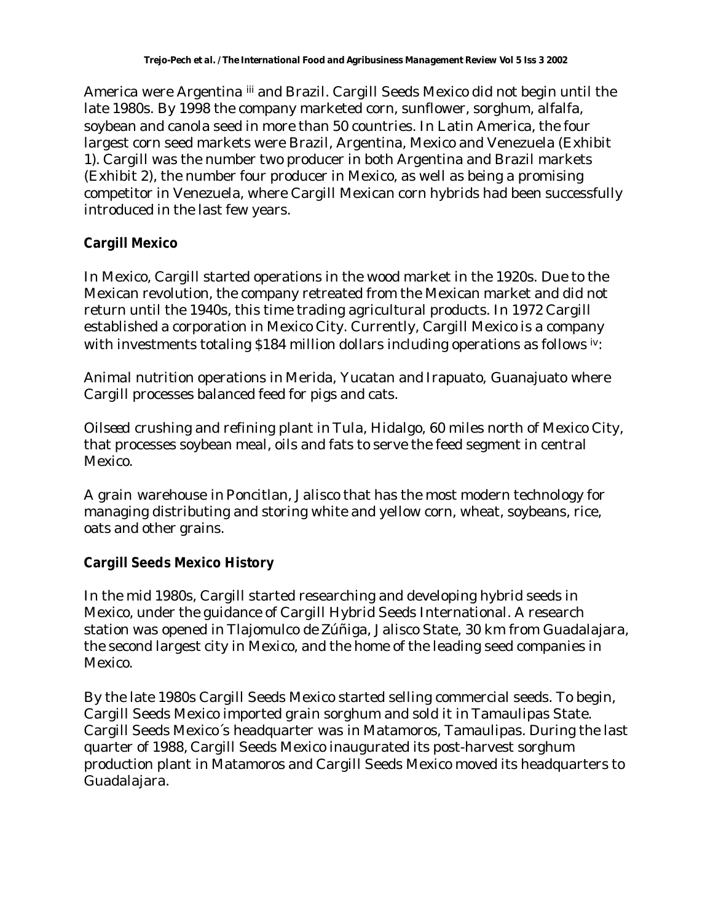America were Argentina iii and Brazil. Cargill Seeds Mexico did not begin until the late 1980s. By 1998 the company marketed corn, sunflower, sorghum, alfalfa, soybean and canola seed in more than 50 countries. In Latin America, the four largest corn seed markets were Brazil, Argentina, Mexico and Venezuela (Exhibit 1). Cargill was the number two producer in both Argentina and Brazil markets (Exhibit 2), the number four producer in Mexico, as well as being a promising competitor in Venezuela, where Cargill Mexican corn hybrids had been successfully introduced in the last few years.

## **Cargill Mexico**

In Mexico, Cargill started operations in the wood market in the 1920s. Due to the Mexican revolution, the company retreated from the Mexican market and did not return until the 1940s, this time trading agricultural products. In 1972 Cargill established a corporation in Mexico City. Currently, Cargill Mexico is a company with investments totaling \$184 million dollars including operations as follows  $iv$ :

*Animal nutrition* operations in Merida, Yucatan and Irapuato, Guanajuato where Cargill processes balanced feed for pigs and cats.

*Oilseed* crushing and refining plant in Tula, Hidalgo, 60 miles north of Mexico City, that processes soybean meal, oils and fats to serve the feed segment in central Mexico.

A *grain* warehouse in Poncitlan, Jalisco that has the most modern technology for managing distributing and storing white and yellow corn, wheat, soybeans, rice, oats and other grains.

# **Cargill Seeds Mexico History**

In the mid 1980s, Cargill started researching and developing hybrid seeds in Mexico, under the guidance of Cargill Hybrid Seeds International. A research station was opened in Tlajomulco de Zúñiga, Jalisco State, 30 km from Guadalajara, the second largest city in Mexico, and the home of the leading seed companies in Mexico.

By the late 1980s Cargill Seeds Mexico started selling commercial seeds. To begin, Cargill Seeds Mexico imported grain sorghum and sold it in Tamaulipas State. Cargill Seeds Mexico´s headquarter was in Matamoros, Tamaulipas. During the last quarter of 1988, Cargill Seeds Mexico inaugurated its post-harvest sorghum production plant in Matamoros and Cargill Seeds Mexico moved its headquarters to Guadalajara.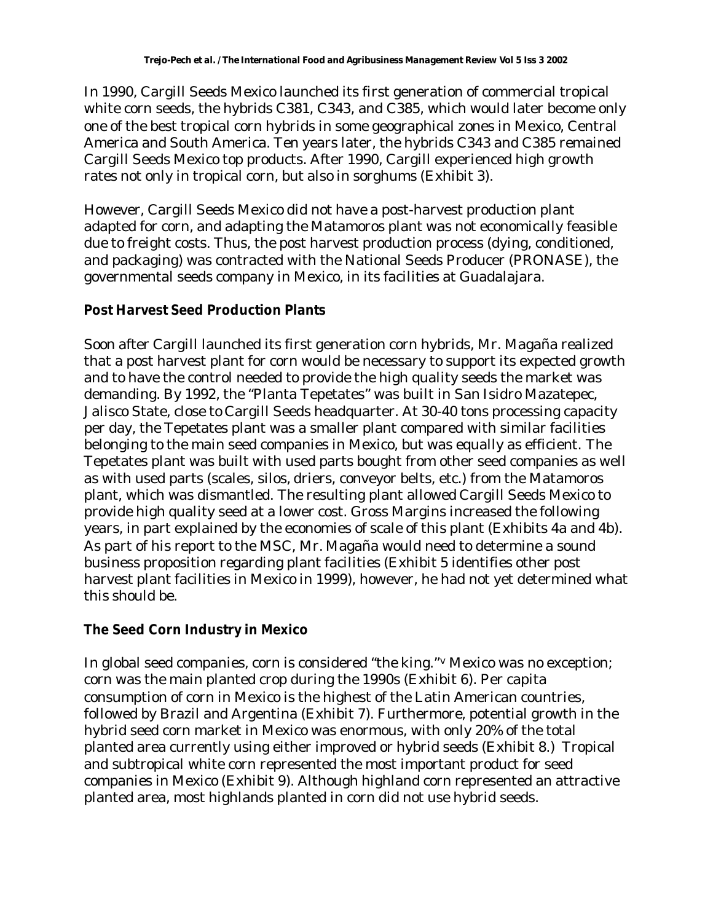In 1990, Cargill Seeds Mexico launched its first generation of commercial tropical white corn seeds, the hybrids C381, C343, and C385, which would later become only one of the best tropical corn hybrids in some geographical zones in Mexico, Central America and South America. Ten years later, the hybrids C343 and C385 remained Cargill Seeds Mexico top products. After 1990, Cargill experienced high growth rates not only in tropical corn, but also in sorghums (Exhibit 3).

However, Cargill Seeds Mexico did not have a post-harvest production plant adapted for corn, and adapting the Matamoros plant was not economically feasible due to freight costs. Thus, the post harvest production process (dying, conditioned, and packaging) was contracted with the National Seeds Producer (PRONASE), the governmental seeds company in Mexico, in its facilities at Guadalajara.

## **Post Harvest Seed Production Plants**

Soon after Cargill launched its first generation corn hybrids, Mr. Magaña realized that a post harvest plant for corn would be necessary to support its expected growth and to have the control needed to provide the high quality seeds the market was demanding. By 1992, the "Planta Tepetates" was built in San Isidro Mazatepec, Jalisco State, close to Cargill Seeds headquarter. At 30-40 tons processing capacity per day, the Tepetates plant was a smaller plant compared with similar facilities belonging to the main seed companies in Mexico, but was equally as efficient. The Tepetates plant was built with used parts bought from other seed companies as well as with used parts (scales, silos, driers, conveyor belts, etc.) from the Matamoros plant, which was dismantled. The resulting plant allowed Cargill Seeds Mexico to provide high quality seed at a lower cost. Gross Margins increased the following years, in part explained by the economies of scale of this plant (Exhibits 4a and 4b). As part of his report to the MSC, Mr. Magaña would need to determine a sound business proposition regarding plant facilities (Exhibit 5 identifies other post harvest plant facilities in Mexico in 1999), however, he had not yet determined what this should be.

# **The Seed Corn Industry in Mexico**

In global seed companies, corn is considered "the king."v Mexico was no exception; corn was the main planted crop during the 1990s (Exhibit 6). Per capita consumption of corn in Mexico is the highest of the Latin American countries, followed by Brazil and Argentina (Exhibit 7). Furthermore, potential growth in the hybrid seed corn market in Mexico was enormous, with only 20% of the total planted area currently using either improved or hybrid seeds (Exhibit 8.) Tropical and subtropical white corn represented the most important product for seed companies in Mexico (Exhibit 9). Although highland corn represented an attractive planted area, most highlands planted in corn did not use hybrid seeds.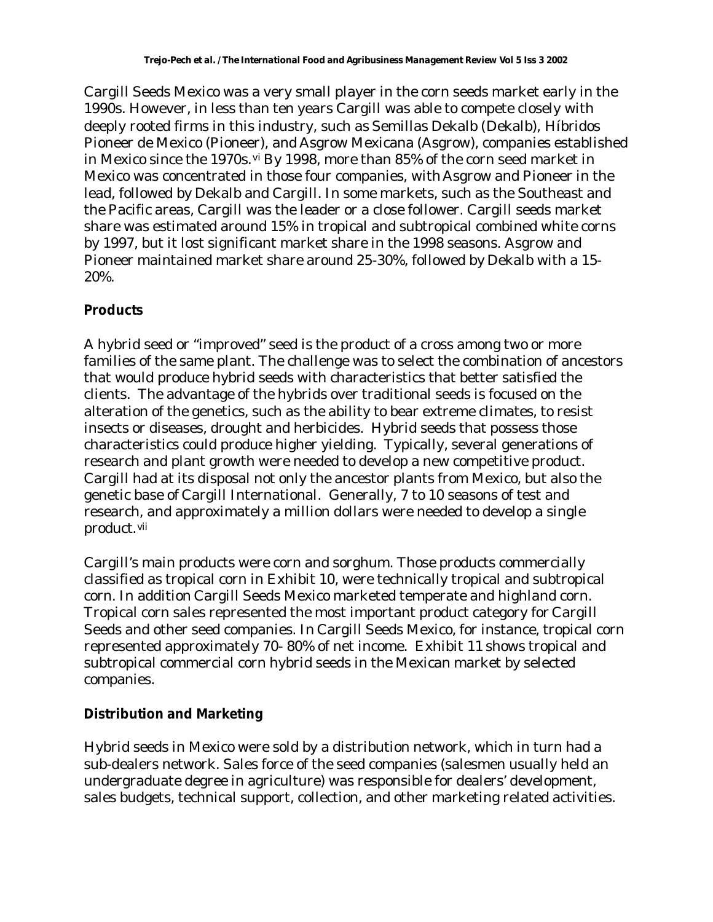Cargill Seeds Mexico was a very small player in the corn seeds market early in the 1990s. However, in less than ten years Cargill was able to compete closely with deeply rooted firms in this industry, such as Semillas Dekalb (Dekalb), Híbridos Pioneer de Mexico (Pioneer), and Asgrow Mexicana (Asgrow), companies established in Mexico since the 1970s.<sup>vi</sup> By 1998, more than 85% of the corn seed market in Mexico was concentrated in those four companies, with Asgrow and Pioneer in the lead, followed by Dekalb and Cargill. In some markets, such as the Southeast and the Pacific areas, Cargill was the leader or a close follower. Cargill seeds market share was estimated around 15% in tropical and subtropical combined white corns by 1997, but it lost significant market share in the 1998 seasons. Asgrow and Pioneer maintained market share around 25-30%, followed by Dekalb with a 15- 20%.

#### **Products**

A hybrid seed or "improved" seed is the product of a cross among two or more families of the same plant. The challenge was to select the combination of ancestors that would produce hybrid seeds with characteristics that better satisfied the clients. The advantage of the hybrids over traditional seeds is focused on the alteration of the genetics, such as the ability to bear extreme climates, to resist insects or diseases, drought and herbicides. Hybrid seeds that possess those characteristics could produce higher yielding. Typically, several generations of research and plant growth were needed to develop a new competitive product. Cargill had at its disposal not only the ancestor plants from Mexico, but also the genetic base of Cargill International. Generally, 7 to 10 seasons of test and research, and approximately a million dollars were needed to develop a single product.vii

Cargill's main products were corn and sorghum. Those products commercially classified as tropical corn in Exhibit 10, were technically tropical and subtropical corn. In addition Cargill Seeds Mexico marketed temperate and highland corn. Tropical corn sales represented the most important product category for Cargill Seeds and other seed companies. In Cargill Seeds Mexico, for instance, tropical corn represented approximately 70- 80% of net income. Exhibit 11 shows tropical and subtropical commercial corn hybrid seeds in the Mexican market by selected companies.

# **Distribution and Marketing**

Hybrid seeds in Mexico were sold by a distribution network, which in turn had a sub-dealers network. Sales force of the seed companies (salesmen usually held an undergraduate degree in agriculture) was responsible for dealers' development, sales budgets, technical support, collection, and other marketing related activities.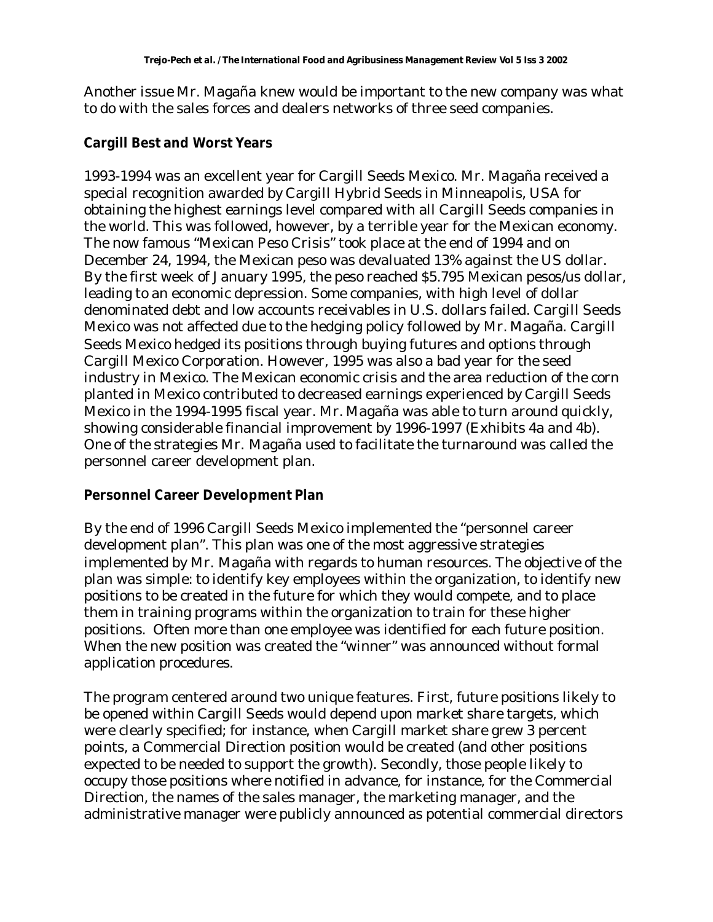Another issue Mr. Magaña knew would be important to the new company was what to do with the sales forces and dealers networks of three seed companies.

#### **Cargill Best and Worst Years**

1993-1994 was an excellent year for Cargill Seeds Mexico. Mr. Magaña received a special recognition awarded by Cargill Hybrid Seeds in Minneapolis, USA for obtaining the highest earnings level compared with all Cargill Seeds companies in the world. This was followed, however, by a terrible year for the Mexican economy. The now famous "Mexican Peso Crisis" took place at the end of 1994 and on December 24, 1994, the Mexican peso was devaluated 13% against the US dollar. By the first week of January 1995, the peso reached \$5.795 Mexican pesos/us dollar, leading to an economic depression. Some companies, with high level of dollar denominated debt and low accounts receivables in U.S. dollars failed. Cargill Seeds Mexico was not affected due to the hedging policy followed by Mr. Magaña. Cargill Seeds Mexico hedged its positions through buying futures and options through Cargill Mexico Corporation. However, 1995 was also a bad year for the seed industry in Mexico. The Mexican economic crisis and the area reduction of the corn planted in Mexico contributed to decreased earnings experienced by Cargill Seeds Mexico in the 1994-1995 fiscal year. Mr. Magaña was able to turn around quickly, showing considerable financial improvement by 1996-1997 (Exhibits 4a and 4b). One of the strategies Mr. Magaña used to facilitate the turnaround was called the personnel career development plan.

#### **Personnel Career Development Plan**

By the end of 1996 Cargill Seeds Mexico implemented the "personnel career development plan". This plan was one of the most aggressive strategies implemented by Mr. Magaña with regards to human resources. The objective of the plan was simple: to identify key employees within the organization, to identify new positions to be created in the future for which they would compete, and to place them in training programs within the organization to train for these higher positions. Often more than one employee was identified for each future position. When the new position was created the "winner" was announced without formal application procedures.

The program centered around two unique features. First, future positions likely to be opened within Cargill Seeds would depend upon market share targets, which were clearly specified; for instance, when Cargill market share grew 3 percent points, a Commercial Direction position would be created (and other positions expected to be needed to support the growth). Secondly, those people likely to occupy those positions where notified in advance, for instance, for the Commercial Direction, the names of the sales manager, the marketing manager, and the administrative manager were publicly announced as potential commercial directors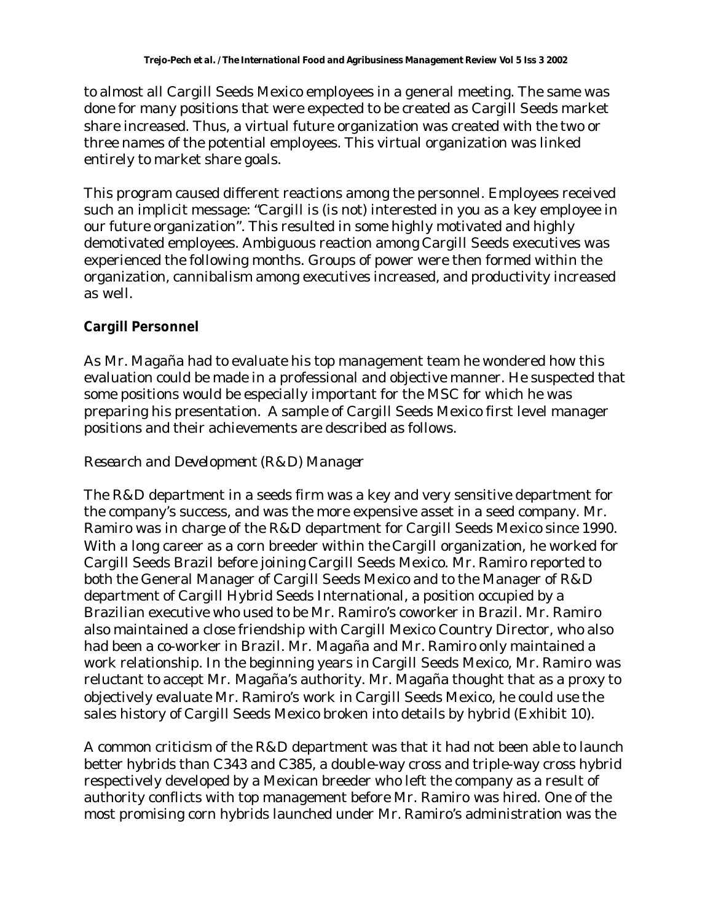to almost all Cargill Seeds Mexico employees in a general meeting. The same was done for many positions that were expected to be created as Cargill Seeds market share increased. Thus, a virtual future organization was created with the two or three names of the potential employees. This virtual organization was linked entirely to market share goals.

This program caused different reactions among the personnel. Employees received such an implicit message: "Cargill is (is not) interested in you as a key employee in our future organization". This resulted in some highly motivated and highly demotivated employees. Ambiguous reaction among Cargill Seeds executives was experienced the following months. Groups of power were then formed within the organization, cannibalism among executives increased, and productivity increased as well.

# **Cargill Personnel**

As Mr. Magaña had to evaluate his top management team he wondered how this evaluation could be made in a professional and objective manner. He suspected that some positions would be especially important for the MSC for which he was preparing his presentation. A sample of Cargill Seeds Mexico first level manager positions and their achievements are described as follows.

### *Research and Development (R&D) Manager*

The R&D department in a seeds firm was a key and very sensitive department for the company's success, and was the more expensive asset in a seed company. Mr. Ramiro was in charge of the R&D department for Cargill Seeds Mexico since 1990. With a long career as a corn breeder within the Cargill organization, he worked for Cargill Seeds Brazil before joining Cargill Seeds Mexico. Mr. Ramiro reported to both the General Manager of Cargill Seeds Mexico and to the Manager of R&D department of Cargill Hybrid Seeds International, a position occupied by a Brazilian executive who used to be Mr. Ramiro's coworker in Brazil. Mr. Ramiro also maintained a close friendship with Cargill Mexico Country Director, who also had been a co-worker in Brazil. Mr. Magaña and Mr. Ramiro only maintained a work relationship. In the beginning years in Cargill Seeds Mexico, Mr. Ramiro was reluctant to accept Mr. Magaña's authority. Mr. Magaña thought that as a proxy to objectively evaluate Mr. Ramiro's work in Cargill Seeds Mexico, he could use the sales history of Cargill Seeds Mexico broken into details by hybrid (Exhibit 10).

A common criticism of the R&D department was that it had not been able to launch better hybrids than C343 and C385, a double-way cross and triple-way cross hybrid respectively developed by a Mexican breeder who left the company as a result of authority conflicts with top management before Mr. Ramiro was hired. One of the most promising corn hybrids launched under Mr. Ramiro's administration was the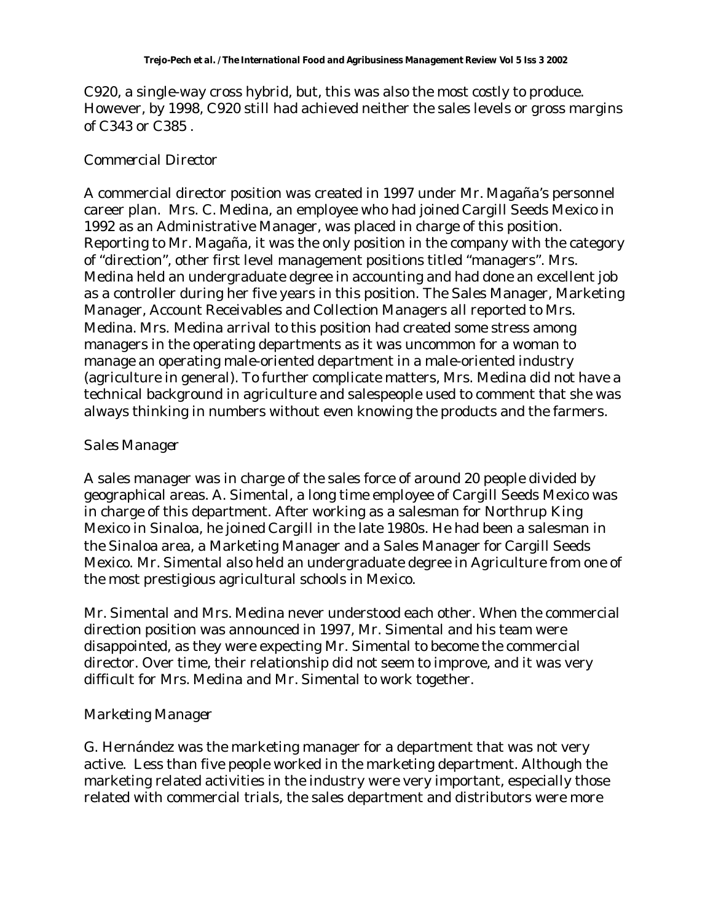C920, a single-way cross hybrid, but, this was also the most costly to produce. However, by 1998, C920 still had achieved neither the sales levels or gross margins of C343 or C385 .

## *Commercial Director*

A commercial director position was created in 1997 under Mr. Magaña's personnel career plan. Mrs. C. Medina, an employee who had joined Cargill Seeds Mexico in 1992 as an Administrative Manager, was placed in charge of this position. Reporting to Mr. Magaña, it was the only position in the company with the category of "direction", other first level management positions titled "managers". Mrs. Medina held an undergraduate degree in accounting and had done an excellent job as a controller during her five years in this position. The Sales Manager, Marketing Manager, Account Receivables and Collection Managers all reported to Mrs. Medina. Mrs. Medina arrival to this position had created some stress among managers in the operating departments as it was uncommon for a woman to manage an operating male-oriented department in a male-oriented industry (agriculture in general). To further complicate matters, Mrs. Medina did not have a technical background in agriculture and salespeople used to comment that she was always thinking in numbers without even knowing the products and the farmers.

#### *Sales Manager*

A sales manager was in charge of the sales force of around 20 people divided by geographical areas. A. Simental, a long time employee of Cargill Seeds Mexico was in charge of this department. After working as a salesman for Northrup King Mexico in Sinaloa, he joined Cargill in the late 1980s. He had been a salesman in the Sinaloa area, a Marketing Manager and a Sales Manager for Cargill Seeds Mexico. Mr. Simental also held an undergraduate degree in Agriculture from one of the most prestigious agricultural schools in Mexico.

Mr. Simental and Mrs. Medina never understood each other. When the commercial direction position was announced in 1997, Mr. Simental and his team were disappointed, as they were expecting Mr. Simental to become the commercial director. Over time, their relationship did not seem to improve, and it was very difficult for Mrs. Medina and Mr. Simental to work together.

# *Marketing Manager*

G. Hernández was the marketing manager for a department that was not very active. Less than five people worked in the marketing department. Although the marketing related activities in the industry were very important, especially those related with commercial trials, the sales department and distributors were more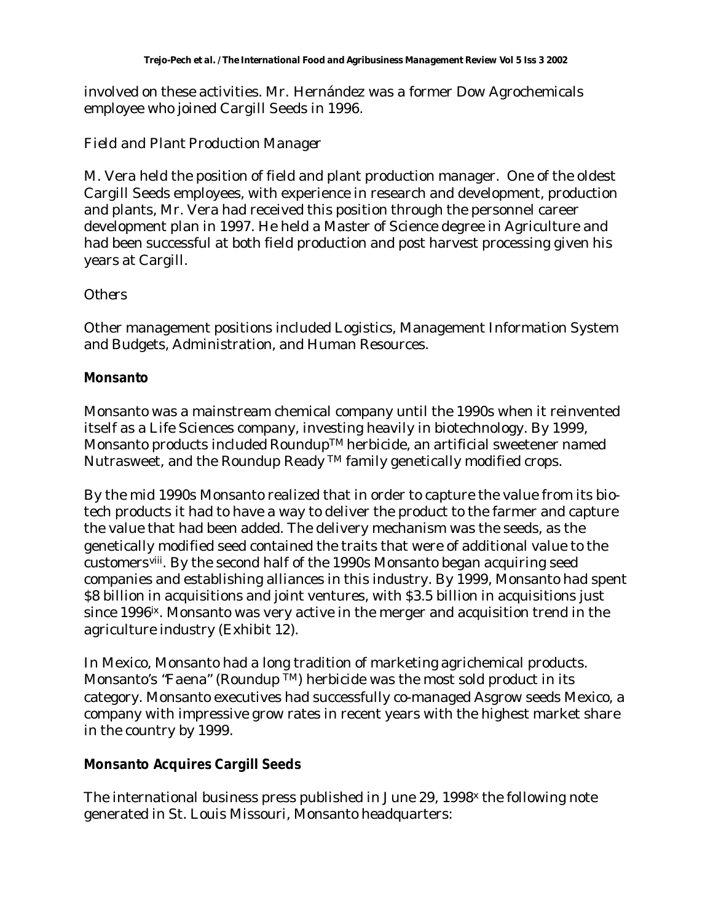involved on these activities. Mr. Hernández was a former Dow Agrochemicals employee who joined Cargill Seeds in 1996.

## *Field and Plant Production Manager*

M. Vera held the position of field and plant production manager. One of the oldest Cargill Seeds employees, with experience in research and development, production and plants, Mr. Vera had received this position through the personnel career development plan in 1997. He held a Master of Science degree in Agriculture and had been successful at both field production and post harvest processing given his years at Cargill.

#### *Others*

Other management positions included Logistics, Management Information System and Budgets, Administration, and Human Resources.

## **Monsanto**

Monsanto was a mainstream chemical company until the 1990s when it reinvented itself as a Life Sciences company, investing heavily in biotechnology. By 1999, Monsanto products included RoundupTM herbicide, an artificial sweetener named Nutrasweet, and the Roundup Ready TM family genetically modified crops.

By the mid 1990s Monsanto realized that in order to capture the value from its biotech products it had to have a way to deliver the product to the farmer and capture the value that had been added. The delivery mechanism was the seeds, as the genetically modified seed contained the traits that were of additional value to the customersviii. By the second half of the 1990s Monsanto began acquiring seed companies and establishing alliances in this industry. By 1999, Monsanto had spent \$8 billion in acquisitions and joint ventures, with \$3.5 billion in acquisitions just since 1996<sup>ix</sup>. Monsanto was very active in the merger and acquisition trend in the agriculture industry (Exhibit 12).

In Mexico, Monsanto had a long tradition of marketing agrichemical products. Monsanto's "Faena" (Roundup TM) herbicide was the most sold product in its category. Monsanto executives had successfully co-managed Asgrow seeds Mexico, a company with impressive grow rates in recent years with the highest market share in the country by 1999.

# **Monsanto Acquires Cargill Seeds**

The international business press published in June 29, 1998<sup>x</sup> the following note generated in St. Louis Missouri, Monsanto headquarters: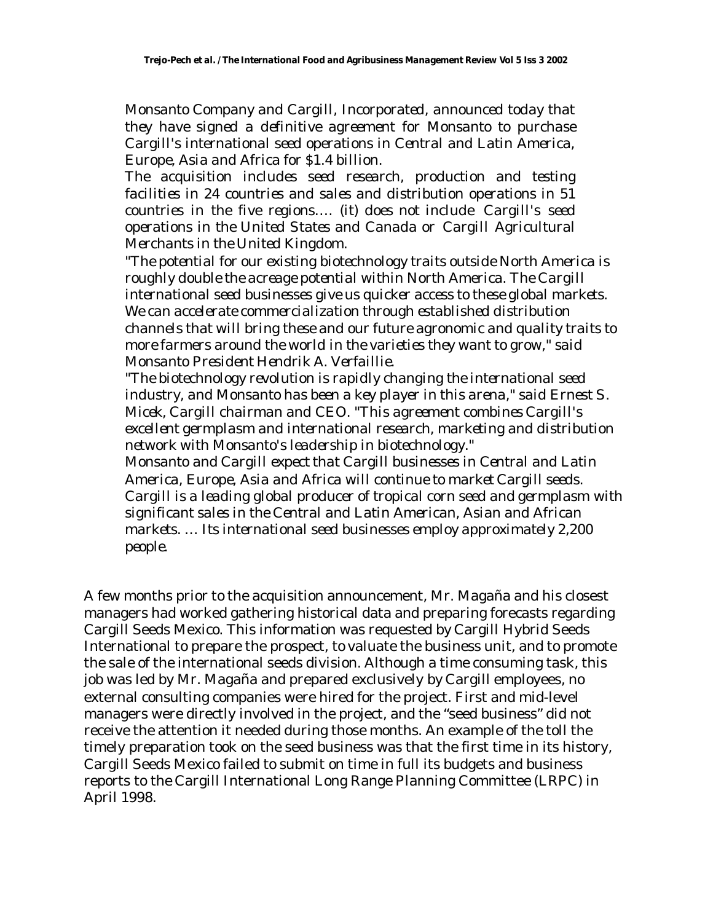*Monsanto Company and Cargill, Incorporated, announced today that they have signed a definitive agreement for Monsanto to purchase Cargill's international seed operations in Central and Latin America, Europe, Asia and Africa for \$1.4 billion.*

*The acquisition includes seed research, production and testing facilities in 24 countries and sales and distribution operations in 51 countries in the five regions…. (it) does not include Cargill's seed operations in the United States and Canada or Cargill Agricultural Merchants in the United Kingdom.*

*"The potential for our existing biotechnology traits outside North America is roughly double the acreage potential within North America. The Cargill international seed businesses give us quicker access to these global markets. We can accelerate commercialization through established distribution channels that will bring these and our future agronomic and quality traits to more farmers around the world in the varieties they want to grow," said Monsanto President Hendrik A. Verfaillie.*

*"The biotechnology revolution is rapidly changing the international seed industry, and Monsanto has been a key player in this arena," said Ernest S. Micek, Cargill chairman and CEO. "This agreement combines Cargill's excellent germplasm and international research, marketing and distribution network with Monsanto's leadership in biotechnology."*

*Monsanto and Cargill expect that Cargill businesses in Central and Latin America, Europe, Asia and Africa will continue to market Cargill seeds. Cargill is a leading global producer of tropical corn seed and germplasm with significant sales in the Central and Latin American, Asian and African markets. … Its international seed businesses employ approximately 2,200 people.*

A few months prior to the acquisition announcement, Mr. Magaña and his closest managers had worked gathering historical data and preparing forecasts regarding Cargill Seeds Mexico. This information was requested by Cargill Hybrid Seeds International to prepare the prospect, to valuate the business unit, and to promote the sale of the international seeds division. Although a time consuming task, this job was led by Mr. Magaña and prepared exclusively by Cargill employees, no external consulting companies were hired for the project. First and mid-level managers were directly involved in the project, and the "seed business" did not receive the attention it needed during those months. An example of the toll the timely preparation took on the seed business was that the first time in its history, Cargill Seeds Mexico failed to submit on time in full its budgets and business reports to the Cargill International Long Range Planning Committee (LRPC) in April 1998.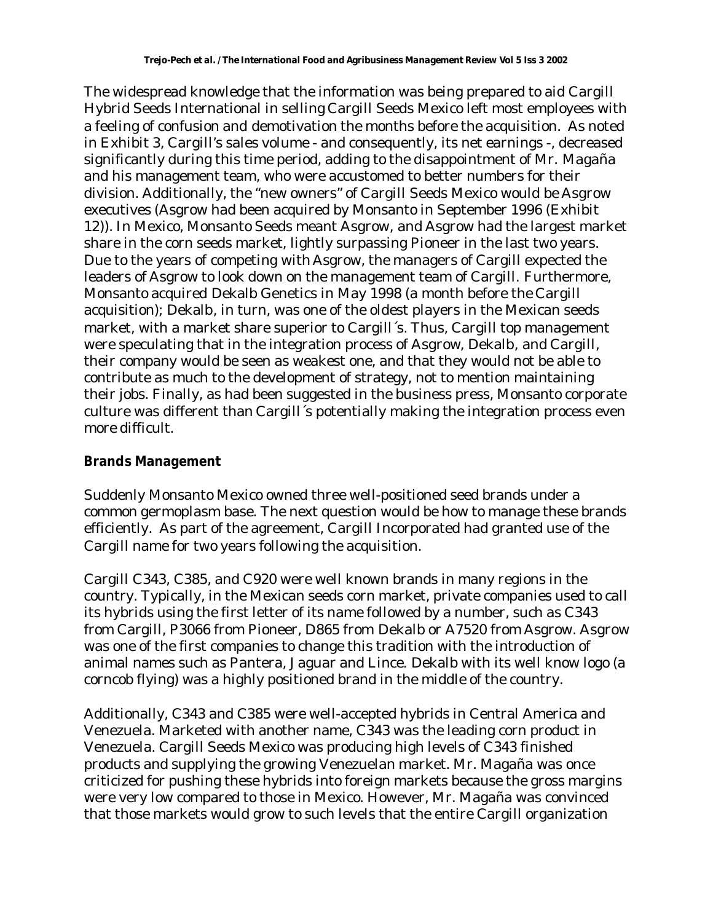The widespread knowledge that the information was being prepared to aid Cargill Hybrid Seeds International in selling Cargill Seeds Mexico left most employees with a feeling of confusion and demotivation the months before the acquisition. As noted in Exhibit 3, Cargill's sales volume - and consequently, its net earnings -, decreased significantly during this time period, adding to the disappointment of Mr. Magaña and his management team, who were accustomed to better numbers for their division. Additionally, the "new owners" of Cargill Seeds Mexico would be Asgrow executives (Asgrow had been acquired by Monsanto in September 1996 (Exhibit 12)). In Mexico, Monsanto Seeds meant Asgrow, and Asgrow had the largest market share in the corn seeds market, lightly surpassing Pioneer in the last two years. Due to the years of competing with Asgrow, the managers of Cargill expected the leaders of Asgrow to look down on the management team of Cargill. Furthermore, Monsanto acquired Dekalb Genetics in May 1998 (a month before the Cargill acquisition); Dekalb, in turn, was one of the oldest players in the Mexican seeds market, with a market share superior to Cargill´s. Thus, Cargill top management were speculating that in the integration process of Asgrow, Dekalb, and Cargill, their company would be seen as weakest one, and that they would not be able to contribute as much to the development of strategy, not to mention maintaining their jobs. Finally, as had been suggested in the business press, Monsanto corporate culture was different than Cargill´s potentially making the integration process even more difficult.

#### **Brands Management**

Suddenly Monsanto Mexico owned three well-positioned seed brands under a common germoplasm base. The next question would be how to manage these brands efficiently. As part of the agreement, Cargill Incorporated had granted use of the Cargill name for two years following the acquisition.

Cargill C343, C385, and C920 were well known brands in many regions in the country. Typically, in the Mexican seeds corn market, private companies used to call its hybrids using the first letter of its name followed by a number, such as C343 from Cargill, P3066 from Pioneer, D865 from Dekalb or A7520 from Asgrow. Asgrow was one of the first companies to change this tradition with the introduction of animal names such as Pantera, Jaguar and Lince. Dekalb with its well know logo (a corncob flying) was a highly positioned brand in the middle of the country.

Additionally, C343 and C385 were well-accepted hybrids in Central America and Venezuela. Marketed with another name, C343 was the leading corn product in Venezuela. Cargill Seeds Mexico was producing high levels of C343 finished products and supplying the growing Venezuelan market. Mr. Magaña was once criticized for pushing these hybrids into foreign markets because the gross margins were very low compared to those in Mexico. However, Mr. Magaña was convinced that those markets would grow to such levels that the entire Cargill organization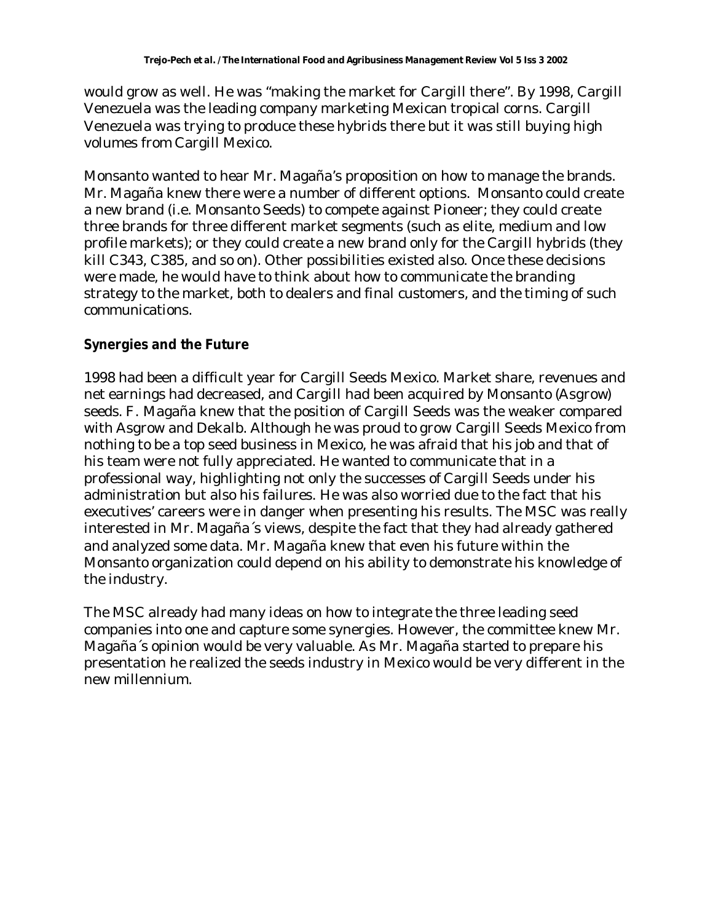would grow as well. He was "making the market for Cargill there". By 1998, Cargill Venezuela was the leading company marketing Mexican tropical corns. Cargill Venezuela was trying to produce these hybrids there but it was still buying high volumes from Cargill Mexico.

Monsanto wanted to hear Mr. Magaña's proposition on how to manage the brands. Mr. Magaña knew there were a number of different options. Monsanto could create a new brand (i.e. Monsanto Seeds) to compete against Pioneer; they could create three brands for three different market segments (such as elite, medium and low profile markets); or they could create a new brand only for the Cargill hybrids (they kill C343, C385, and so on). Other possibilities existed also. Once these decisions were made, he would have to think about how to communicate the branding strategy to the market, both to dealers and final customers, and the timing of such communications.

## **Synergies and the Future**

1998 had been a difficult year for Cargill Seeds Mexico. Market share, revenues and net earnings had decreased, and Cargill had been acquired by Monsanto (Asgrow) seeds. F. Magaña knew that the position of Cargill Seeds was the weaker compared with Asgrow and Dekalb. Although he was proud to grow Cargill Seeds Mexico from nothing to be a top seed business in Mexico, he was afraid that his job and that of his team were not fully appreciated. He wanted to communicate that in a professional way, highlighting not only the successes of Cargill Seeds under his administration but also his failures. He was also worried due to the fact that his executives' careers were in danger when presenting his results. The MSC was really interested in Mr. Magaña´s views, despite the fact that they had already gathered and analyzed some data. Mr. Magaña knew that even his future within the Monsanto organization could depend on his ability to demonstrate his knowledge of the industry.

The MSC already had many ideas on how to integrate the three leading seed companies into one and capture some synergies. However, the committee knew Mr. Magaña´s opinion would be very valuable. As Mr. Magaña started to prepare his presentation he realized the seeds industry in Mexico would be very different in the new millennium.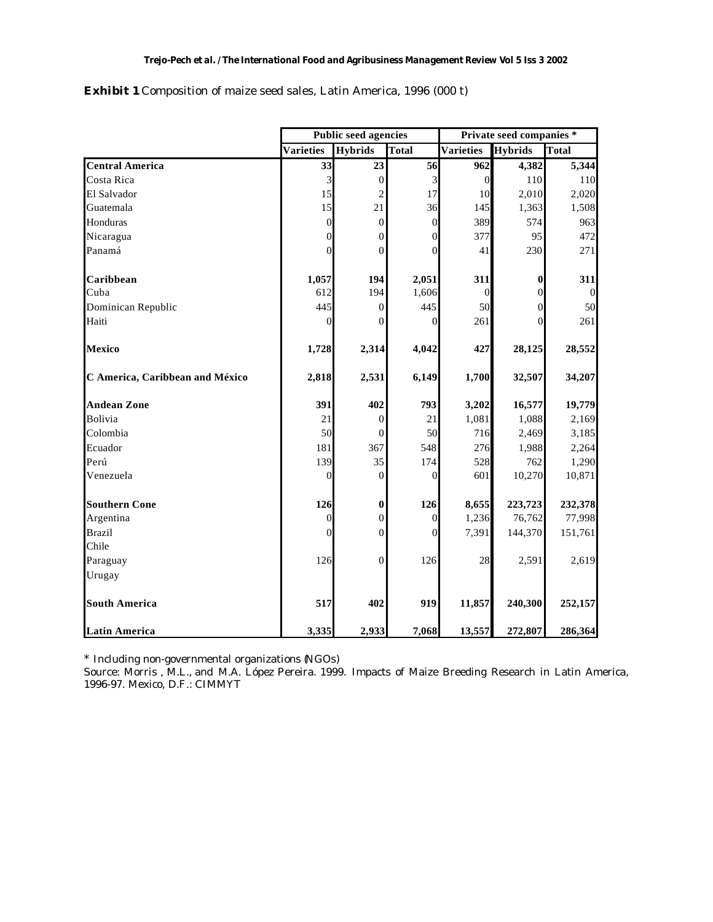|                                 |                  | <b>Public seed agencies</b> |                | Private seed companies * |                  |                |  |
|---------------------------------|------------------|-----------------------------|----------------|--------------------------|------------------|----------------|--|
|                                 | <b>Varieties</b> | <b>Hybrids</b>              | Total          | Varieties                | <b>Hybrids</b>   | <b>Total</b>   |  |
| <b>Central America</b>          | 33               | 23                          | 56             | 962                      | 4,382            | 5,344          |  |
| Costa Rica                      | $\mathfrak{Z}$   | $\boldsymbol{0}$            | 3              | $\boldsymbol{0}$         | $110\,$          | 110            |  |
| El Salvador                     | 15               | $\overline{c}$              | 17             | 10                       | 2,010            | 2,020          |  |
| Guatemala                       | 15               | 21                          | 36             | 145                      | 1,363            | 1,508          |  |
| Honduras                        | $\boldsymbol{0}$ | $\boldsymbol{0}$            | $\mathbf{0}$   | 389                      | 574              | 963            |  |
| Nicaragua                       | 0                | $\mathbf{0}$                | 0              | 377                      | 95               | 472            |  |
| Panamá                          | $\theta$         | $\Omega$                    | $\Omega$       | 41                       | 230              | 271            |  |
| Caribbean                       | 1,057            | 194                         | 2,051          | 311                      | $\boldsymbol{0}$ | 311            |  |
| Cuba                            | 612              | 194                         | 1,606          | $\boldsymbol{0}$         | $\boldsymbol{0}$ | $\overline{0}$ |  |
| Dominican Republic              | 445              | $\overline{0}$              | 445            | 50                       | $\overline{0}$   | 50             |  |
| Haiti                           | $\overline{0}$   | $\mathbf{0}$                | $\Omega$       | 261                      | $\boldsymbol{0}$ | 261            |  |
| <b>Mexico</b>                   | 1,728            | 2,314                       | 4,042          | 427                      | 28,125           | 28,552         |  |
| C America, Caribbean and México | 2,818            | 2,531                       | 6,149          | 1,700                    | 32,507           | 34,207         |  |
| <b>Andean Zone</b>              | 391              | 402                         | 793            | 3,202                    | 16,577           | 19,779         |  |
| <b>Bolivia</b>                  | 21               | $\mathbf{0}$                | 21             | 1,081                    | 1,088            | 2,169          |  |
| Colombia                        | 50               | $\overline{0}$              | 50             | 716                      | 2,469            | 3,185          |  |
| Ecuador                         | 181              | 367                         | 548            | 276                      | 1,988            | 2,264          |  |
| Perú                            | 139              | 35                          | 174            | 528                      | 762              | 1,290          |  |
| Venezuela                       | $\theta$         | $\overline{0}$              | $\overline{0}$ | 601                      | 10,270           | 10,871         |  |
| <b>Southern Cone</b>            | 126              | $\bf{0}$                    | 126            | 8,655                    | 223,723          | 232,378        |  |
| Argentina                       | $\boldsymbol{0}$ | $\boldsymbol{0}$            | $\mathbf{0}$   | 1,236                    | 76,762           | 77,998         |  |
| <b>Brazil</b>                   | $\theta$         | $\overline{0}$              | $\Omega$       | 7,391                    | 144,370          | 151,761        |  |
| Chile                           |                  |                             |                |                          |                  |                |  |
| Paraguay                        | 126              | $\overline{0}$              | 126            | 28                       | 2,591            | 2,619          |  |
| Urugay                          |                  |                             |                |                          |                  |                |  |
| <b>South America</b>            | 517              | 402                         | 919            | 11,857                   | 240,300          | 252,157        |  |
| <b>Latin America</b>            | 3,335            | 2,933                       | 7,068          | 13,557                   | 272,807          | 286,364        |  |

**Exhibit 1** Composition of maize seed sales, Latin America, 1996 (000 t)

\* Including non-governmental organizations (NGOs)

Source: Morris , M.L., and M.A. López Pereira. 1999. Impacts of Maize Breeding Research in Latin America, 1996-97. Mexico, D.F.: CIMMYT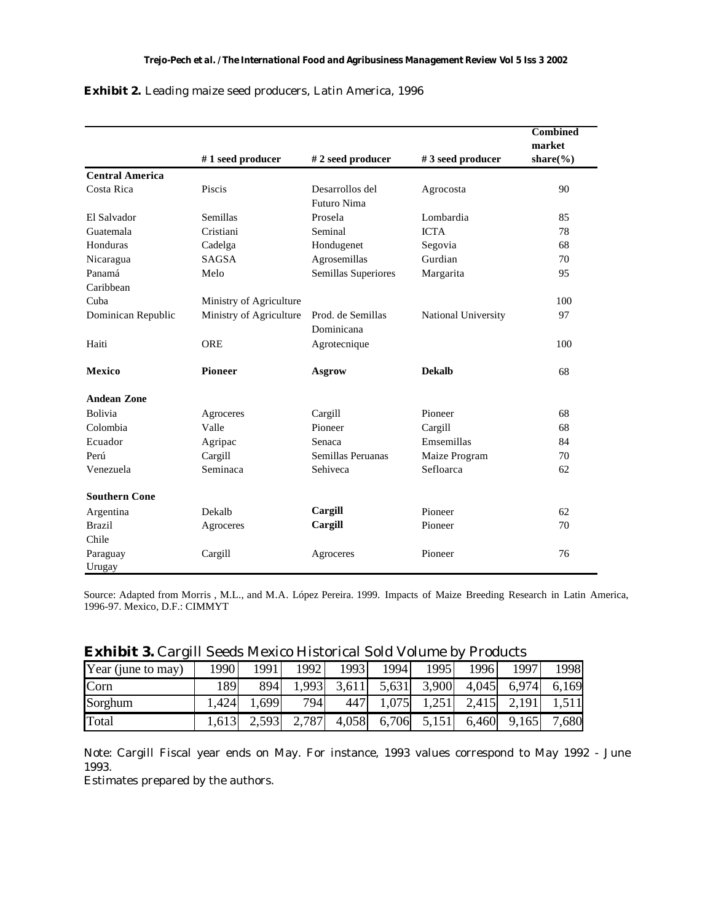|                        |                         |                     |                     | <b>Combined</b>                  |
|------------------------|-------------------------|---------------------|---------------------|----------------------------------|
|                        |                         |                     |                     | market                           |
|                        | #1 seed producer        | #2 seed producer    | #3 seed producer    | share $\left(\frac{6}{6}\right)$ |
| <b>Central America</b> |                         |                     |                     |                                  |
| Costa Rica             | Piscis                  | Desarrollos del     | Agrocosta           | 90                               |
|                        |                         | Futuro Nima         |                     |                                  |
| El Salvador            | Semillas                | Prosela             | Lombardia           | 85                               |
| Guatemala              | Cristiani               | Seminal             | <b>ICTA</b>         | 78                               |
| Honduras               | Cadelga                 | Hondugenet          | Segovia             | 68                               |
| Nicaragua              | <b>SAGSA</b>            | Agrosemillas        | Gurdian             | 70                               |
| Panamá                 | Melo                    | Semillas Superiores | Margarita           | 95                               |
| Caribbean              |                         |                     |                     |                                  |
| Cuba                   | Ministry of Agriculture |                     |                     | 100                              |
| Dominican Republic     | Ministry of Agriculture | Prod. de Semillas   | National University | 97                               |
|                        |                         | Dominicana          |                     |                                  |
| Haiti                  | <b>ORE</b>              | Agrotecnique        |                     | 100                              |
| <b>Mexico</b>          | <b>Pioneer</b>          | <b>Asgrow</b>       | <b>Dekalb</b>       | 68                               |
| <b>Andean Zone</b>     |                         |                     |                     |                                  |
| <b>Bolivia</b>         | Agroceres               | Cargill             | Pioneer             | 68                               |
| Colombia               | Valle                   | Pioneer             | Cargill             | 68                               |
| Ecuador                | Agripac                 | Senaca              | Emsemillas          | 84                               |
| Perú                   | Cargill                 | Semillas Peruanas   | Maize Program       | 70                               |
| Venezuela              | Seminaca                | Sehiveca            | Sefloarca           | 62                               |
| <b>Southern Cone</b>   |                         |                     |                     |                                  |
| Argentina              | Dekalb                  | Cargill             | Pioneer             | 62                               |
| <b>Brazil</b>          | Agroceres               | Cargill             | Pioneer             | 70                               |
| Chile                  |                         |                     |                     |                                  |
| Paraguay<br>Urugay     | Cargill                 | Agroceres           | Pioneer             | 76                               |

#### **Exhibit 2.** Leading maize seed producers, Latin America, 1996

Source: Adapted from Morris , M.L., and M.A. López Pereira. 1999. Impacts of Maize Breeding Research in Latin America, 1996-97. Mexico, D.F.: CIMMYT

|  |  | <b>Exhibit 3.</b> Cargill Seeds Mexico Historical Sold Volume by Products |  |  |
|--|--|---------------------------------------------------------------------------|--|--|
|--|--|---------------------------------------------------------------------------|--|--|

| Year (june to may) | 1990  | 1991  | 1992  | 1993  | 1994  | 1995        | 1996  | 1997        | 1998  |
|--------------------|-------|-------|-------|-------|-------|-------------|-------|-------------|-------|
| Corn               | 1891  | 894   | 1,993 | 3,611 |       | 5,631 3,900 |       | 4,045 6,974 | 6,169 |
| Sorghum            | .424  | 1,699 | 794   | 447   | 1,075 | 1,251       | 2,415 | 2,191       | 1,511 |
| Total              | 1,613 | 2,593 | 2,787 | 4,058 |       | 6,706 5,151 | 6,460 | 9,165       | 7,680 |

Note: Cargill Fiscal year ends on May. For instance, 1993 values correspond to May 1992 - June 1993.

Estimates prepared by the authors.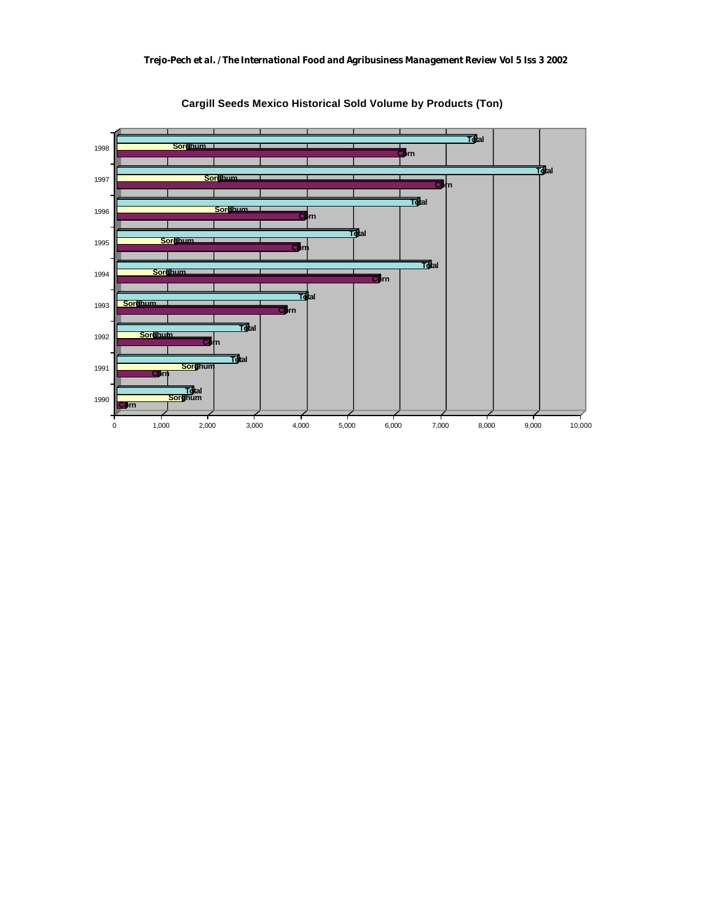

**Cargill Seeds Mexico Historical Sold Volume by Products (Ton)**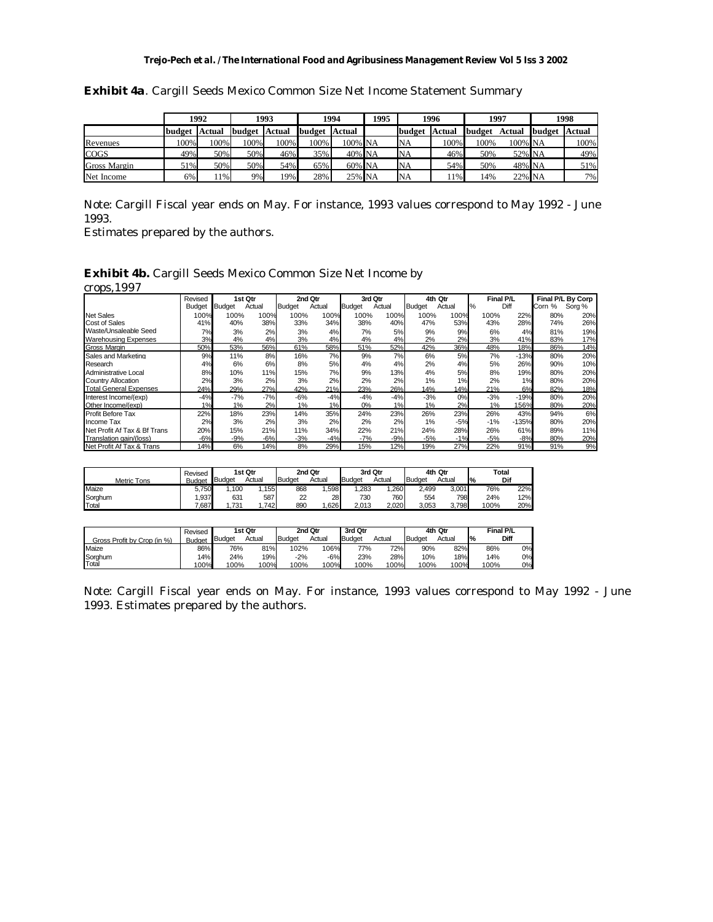#### *Trejo-Pech et al. / The International Food and Agribusiness Management Review Vol 5 Iss 3 2002*

|              |        | 1992          |        | 1993   |        | 1994    | 1995 |           | 1996   |        | 1997    |        | 1998          |
|--------------|--------|---------------|--------|--------|--------|---------|------|-----------|--------|--------|---------|--------|---------------|
|              | budget | <b>Actual</b> | budget | Actual | budget | Actual  |      | budget    | Actual | budget | Actual  | budget | <b>Actual</b> |
| Revenues     | 100%   | 100%          | 100%   | 100%   | 100%   | 100% NA |      | <b>NA</b> | 100%   | 100%   | 100% NA |        | 100%          |
| <b>COGS</b>  | 49%    | 50%           | 50%    | 46%    | 35%    | 40% NA  |      | NA        | 46%    | 50%    | 52% NA  |        | 49%           |
| Gross Margin | 51%    | 50%           | 50%    | 54%    | 65%    | 60% NA  |      | NA        | 54%    | 50%    | 48% NA  |        | 51%           |
| Net Income   | 6%     | 1%            | 9%     | 19%    | 28%    | 25% NA  |      | NA        | $11\%$ | 14%    | 22% NA  |        | 7%            |

**Exhibit 4a**. Cargill Seeds Mexico Common Size Net Income Statement Summary

Note: Cargill Fiscal year ends on May. For instance, 1993 values correspond to May 1992 - June 1993.

Estimates prepared by the authors.

#### **Exhibit 4b.** Cargill Seeds Mexico Common Size Net Income by

crops,1997

|                               | Revised       |               | 1st Qtr |               | 2nd Qtr | 3rd Qtr       |        |               | 4th Qtr |       | Final P/L |              | Final P/L By Corp |
|-------------------------------|---------------|---------------|---------|---------------|---------|---------------|--------|---------------|---------|-------|-----------|--------------|-------------------|
|                               | <b>Budget</b> | <b>Budget</b> | Actual  | <b>Budget</b> | Actual  | <b>Budget</b> | Actual | <b>Budget</b> | Actual  | %     | Diff      | Corn<br>$\%$ | Sorg %            |
| <b>Net Sales</b>              | 100%          | 100%          | 100%    | 100%          | 100%    | 100%          | 100%   | 100%          | 100%    | 100%  | 22%       | 80%          | 20%               |
| <b>Cost of Sales</b>          | 41%           | 40%           | 38%     | 33%           | 34%     | 38%           | 40%    | 47%           | 53%     | 43%   | 28%       | 74%          | 26%               |
| Waste/Unsaleable Seed         | 7%            | 3%            | 2%      | 3%            | 4%      | 7%            | 5%     | 9%            | 9%      | 6%    | 4%        | 81%          | 19%               |
| Warehousing Expenses          | 3%            | 4%            | 4%      | 3%            | 4%      | 4%            | 4%     | 2%            | 2%      | 3%    | 41%       | 83%          | 17%               |
| Gross Margin                  | 50%           | 53%           | 56%     | 61%           | 58%     | 51%           | 52%    | 42%           | 36%     | 48%   | 18%       | 86%          | 14%               |
| Sales and Marketing           | 9%            | 11%           | 8%      | 16%           | 7%      | 9%            | 7%     | 6%            | 5%      | 7%    | $-13%$    | 80%          | 20%               |
| Research                      | 4%            | 6%            | 6%      | 8%            | 5%      | 4%            | 4%     | 2%            | 4%      | 5%    | 26%       | 90%          | 10%               |
| Administrative Local          | 8%            | 10%           | 11%     | 15%           | 7%      | 9%            | 13%    | 4%            | 5%      | 8%    | 19%       | 80%          | 20%               |
| <b>Country Allocation</b>     | 2%            | 3%            | 2%      | 3%            | 2%      | 2%            | 2%     | 1%            | 1%      | 2%    | 1%        | 80%          | 20%               |
| <b>Total General Expenses</b> | 24%           | 29%           | 27%     | 42%           | 21%     | 23%           | 26%    | 14%           | 14%     | 21%   | 6%        | 82%          | 18%               |
| Interest Income/(exp)         | $-4%$         | $-7%$         | $-7%$   | $-6%$         | $-4%$   | $-4%$         | $-4%$  | $-3%$         | 0%      | $-3%$ | $-19%$    | 80%          | 20%               |
| Other Income/(exp)            | 1%            | 1%            | 2%      | 1%            | 1%      | 0%            | 1%     | 1%            | 2%      | 1%    | 156%      | 80%          | 20%               |
| <b>Profit Before Tax</b>      | 22%           | 18%           | 23%     | 14%           | 35%     | 24%           | 23%    | 26%           | 23%     | 26%   | 43%       | 94%          | 6%                |
| Income Tax                    | 2%            | 3%            | 2%      | 3%            | 2%      | 2%            | 2%     | 1%            | $-5%$   | $-1%$ | $-135%$   | 80%          | 20%               |
| Net Profit Af Tax & Bf Trans  | 20%           | 15%           | 21%     | 11%           | 34%     | 22%           | 21%    | 24%           | 28%     | 26%   | 61%       | 89%          | 11%               |
| Translation gain/(loss)       | -6%           | $-9%$         | -6%     | $-3%$         | $-4%$   | $-7%$         | $-9%$  | $-5%$         | $-1%$   | $-5%$ | $-8%$     | 80%          | 20%               |
| Net Profit Af Tax & Trans     | 14%           | 6%            | 14%     | 8%            | 29%     | 15%           | 12%    | 19%           | 27%     | 22%   | 91%       | 91%          | 9%                |

|                    | Revised |               | 1st Qtr |        | 2nd Qtr | 3rd Qtr       |        |        | 4th Qtr | Total         |     |
|--------------------|---------|---------------|---------|--------|---------|---------------|--------|--------|---------|---------------|-----|
| <b>Metric Tons</b> | Budget  | <b>Budget</b> | Actual  | Budget | Actual  | <b>Budget</b> | Actual | Budget | Actual  | $\frac{9}{6}$ | Dif |
| Maize              | 5.750   | .100          | 155     | 868    | .598    | .283          | .260   | 2.499  | 3.001   | 76%           | 22% |
| Sorghum            | .937    | 631           | 587     | 22     | 28      | 730           | 760    | 554    | 7981    | 24%           | 12% |
| Total              | 7.687   | .731          | 7421    | 890    | 626     | 2.013         | 2.020  | 3.053  | 3.798   | 100%          | 20% |

|                             | Revised       |               | 1st Qtr    |               | 2nd Qtr | 3rd Qtr       |        |               | 4th Qtr |               | Final P/L |
|-----------------------------|---------------|---------------|------------|---------------|---------|---------------|--------|---------------|---------|---------------|-----------|
| Gross Profit by Crop (in %) | <b>Budget</b> | <b>Budget</b> | Actual     | <b>Budget</b> | Actual  | <b>Budget</b> | Actual | <b>Budget</b> | Actual  | $\frac{1}{6}$ | Diff      |
| Maize                       | 86%           | 76%           | 81%        | 102%          | 106%    | 77%           | 72%    | 90%           | 82%     | 86%           | 0%        |
| Sorghum                     | 14%           | 24%           | <b>19%</b> | $-2%$         | -6%     | 23%           | 28%    | 10%           | 18%     | 14%           | 0%        |
| Total                       | 100%          | 100%          | 100%       | 100%          | 100%    | 100%          | 100%   | 100%          | 100%    | 100%          | 0%        |

Note: Cargill Fiscal year ends on May. For instance, 1993 values correspond to May 1992 - June 1993. Estimates prepared by the authors.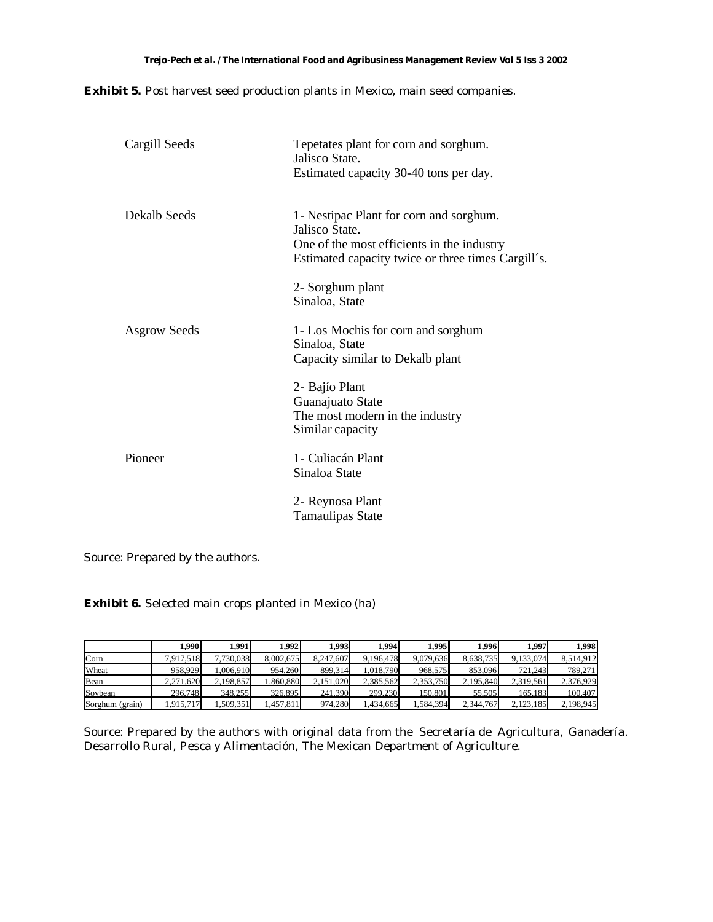**Exhibit 5.** Post harvest seed production plants in Mexico, main seed companies.

| Cargill Seeds       | Tepetates plant for corn and sorghum.<br>Jalisco State.<br>Estimated capacity 30-40 tons per day.                                                             |
|---------------------|---------------------------------------------------------------------------------------------------------------------------------------------------------------|
| Dekalb Seeds        | 1- Nestipac Plant for corn and sorghum.<br>Jalisco State.<br>One of the most efficients in the industry<br>Estimated capacity twice or three times Cargill's. |
|                     | 2- Sorghum plant<br>Sinaloa, State                                                                                                                            |
| <b>Asgrow Seeds</b> | 1- Los Mochis for corn and sorghum<br>Sinaloa, State<br>Capacity similar to Dekalb plant                                                                      |
|                     | 2- Bajío Plant<br>Guanajuato State<br>The most modern in the industry<br>Similar capacity                                                                     |
| Pioneer             | 1 - Culiacán Plant<br>Sinaloa State                                                                                                                           |
|                     | 2- Reynosa Plant<br><b>Tamaulipas State</b>                                                                                                                   |

Source: Prepared by the authors.

**Exhibit 6.** Selected main crops planted in Mexico (ha)

|                 | 1.990     | 1.991     | 1.992     | 1.993     | 1.994     | 1.995     | 1.996     | 1.997     | 1.998     |
|-----------------|-----------|-----------|-----------|-----------|-----------|-----------|-----------|-----------|-----------|
| Corn            | 7.917.518 | 7.730.038 | 8.002.675 | 8.247.607 | 9.196.478 | 9.079.636 | 8.638.735 | 9.133.074 | 8.514.912 |
| Wheat           | 958.929   | 1.006.910 | 954.260   | 899.314   | 1.018.790 | 968,575   | 853,096   | 721.243   | 789,271   |
| Bean            | 2,271,620 | 2.198.857 | .860.880  | 2.151.020 | 2.385.562 | 2.353.750 | 2.195.840 | 2.319.561 | 2.376.929 |
| Soybean         | 296,748   | 348,255   | 326.895   | 241.390   | 299.230   | 150.801   | 55.505    | 165.183   | 100.407   |
| Sorghum (grain) | 1.915.717 | .509.351  | .457.811  | 974.280   | 1.434.665 | 1.584.394 | 2,344,767 | 2.123.185 | 2,198,945 |

Source: Prepared by the authors with original data from the Secretaría de Agricultura, Ganadería. Desarrollo Rural, Pesca y Alimentación, The Mexican Department of Agriculture.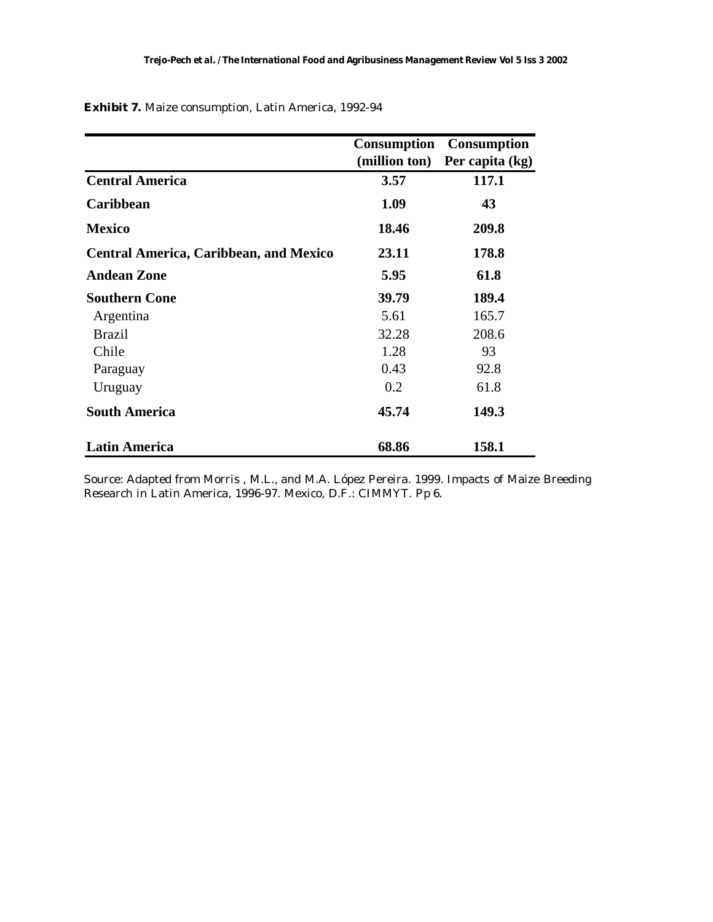|                                               | (million ton) | <b>Consumption Consumption</b><br>Per capita (kg) |
|-----------------------------------------------|---------------|---------------------------------------------------|
| <b>Central America</b>                        | 3.57          | 117.1                                             |
| Caribbean                                     | 1.09          | 43                                                |
| <b>Mexico</b>                                 | 18.46         | 209.8                                             |
| <b>Central America, Caribbean, and Mexico</b> | 23.11         | 178.8                                             |
| <b>Andean Zone</b>                            | 5.95          | 61.8                                              |
| <b>Southern Cone</b>                          | 39.79         | 189.4                                             |
| Argentina                                     | 5.61          | 165.7                                             |
| <b>Brazil</b>                                 | 32.28         | 208.6                                             |
| Chile                                         | 1.28          | 93                                                |
| Paraguay                                      | 0.43          | 92.8                                              |
| Uruguay                                       | 0.2           | 61.8                                              |
| <b>South America</b>                          | 45.74         | 149.3                                             |
| <b>Latin America</b>                          | 68.86         | 158.1                                             |

**Exhibit 7.** Maize consumption, Latin America, 1992-94

Source: Adapted from Morris , M.L., and M.A. López Pereira. 1999. Impacts of Maize Breeding Research in Latin America, 1996-97. Mexico, D.F.: CIMMYT. Pp 6.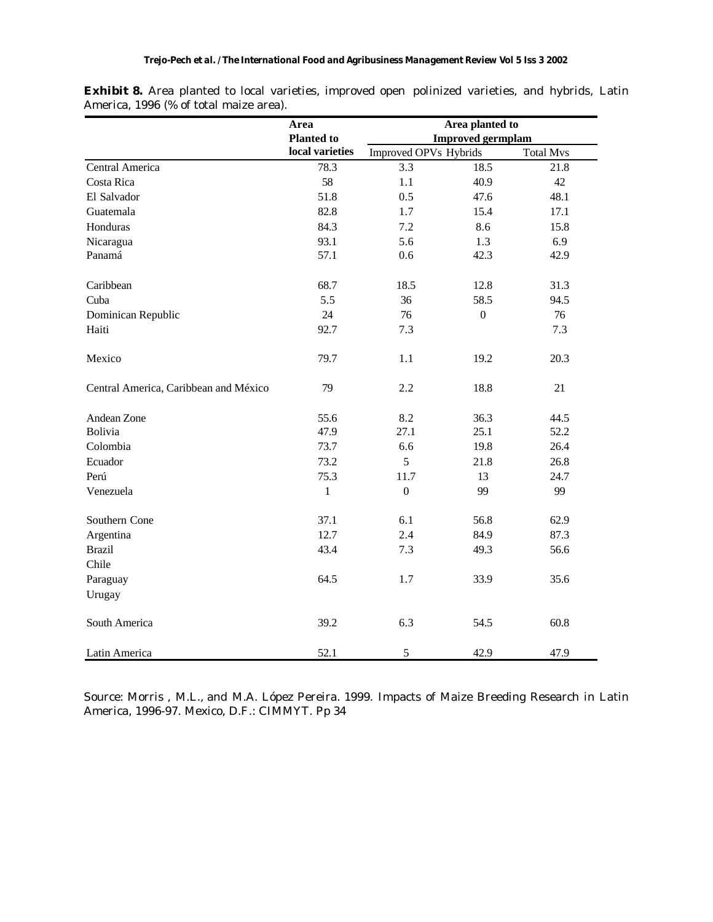|                                       | Area              |                       | Area planted to          |                  |
|---------------------------------------|-------------------|-----------------------|--------------------------|------------------|
|                                       | <b>Planted to</b> |                       | <b>Improved germplam</b> |                  |
|                                       | local varieties   | Improved OPVs Hybrids |                          | <b>Total Mvs</b> |
| Central America                       | 78.3              | 3.3                   | 18.5                     | 21.8             |
| Costa Rica                            | 58                | 1.1                   | 40.9                     | 42               |
| El Salvador                           | 51.8              | 0.5                   | 47.6                     | 48.1             |
| Guatemala                             | 82.8              | 1.7                   | 15.4                     | 17.1             |
| Honduras                              | 84.3              | 7.2                   | 8.6                      | 15.8             |
| Nicaragua                             | 93.1              | 5.6                   | 1.3                      | 6.9              |
| Panamá                                | 57.1              | 0.6                   | 42.3                     | 42.9             |
| Caribbean                             | 68.7              | 18.5                  | 12.8                     | 31.3             |
| Cuba                                  | 5.5               | 36                    | 58.5                     | 94.5             |
| Dominican Republic                    | 24                | 76                    | $\boldsymbol{0}$         | 76               |
| Haiti                                 | 92.7              | 7.3                   |                          | 7.3              |
| Mexico                                | 79.7              | 1.1                   | 19.2                     | 20.3             |
| Central America, Caribbean and México | 79                | 2.2                   | 18.8                     | 21               |
| Andean Zone                           | 55.6              | 8.2                   | 36.3                     | 44.5             |
| Bolivia                               | 47.9              | 27.1                  | 25.1                     | 52.2             |
| Colombia                              | 73.7              | 6.6                   | 19.8                     | 26.4             |
| Ecuador                               | 73.2              | 5                     | 21.8                     | 26.8             |
| Perú                                  | 75.3              | 11.7                  | 13                       | 24.7             |
| Venezuela                             | $\mathbf{1}$      | $\boldsymbol{0}$      | 99                       | 99               |
| Southern Cone                         | 37.1              | 6.1                   | 56.8                     | 62.9             |
| Argentina                             | 12.7              | 2.4                   | 84.9                     | 87.3             |
| <b>Brazil</b>                         | 43.4              | 7.3                   | 49.3                     | 56.6             |
| Chile                                 |                   |                       |                          |                  |
| Paraguay                              | 64.5              | 1.7                   | 33.9                     | 35.6             |
| Urugay                                |                   |                       |                          |                  |
| South America                         | 39.2              | 6.3                   | 54.5                     | 60.8             |
| Latin America                         | 52.1              | $\mathfrak s$         | 42.9                     | 47.9             |

**Exhibit 8.** Area planted to local varieties, improved open polinized varieties, and hybrids, Latin America, 1996 (% of total maize area).

Source: Morris , M.L., and M.A. López Pereira. 1999. Impacts of Maize Breeding Research in Latin America, 1996-97. Mexico, D.F.: CIMMYT. Pp 34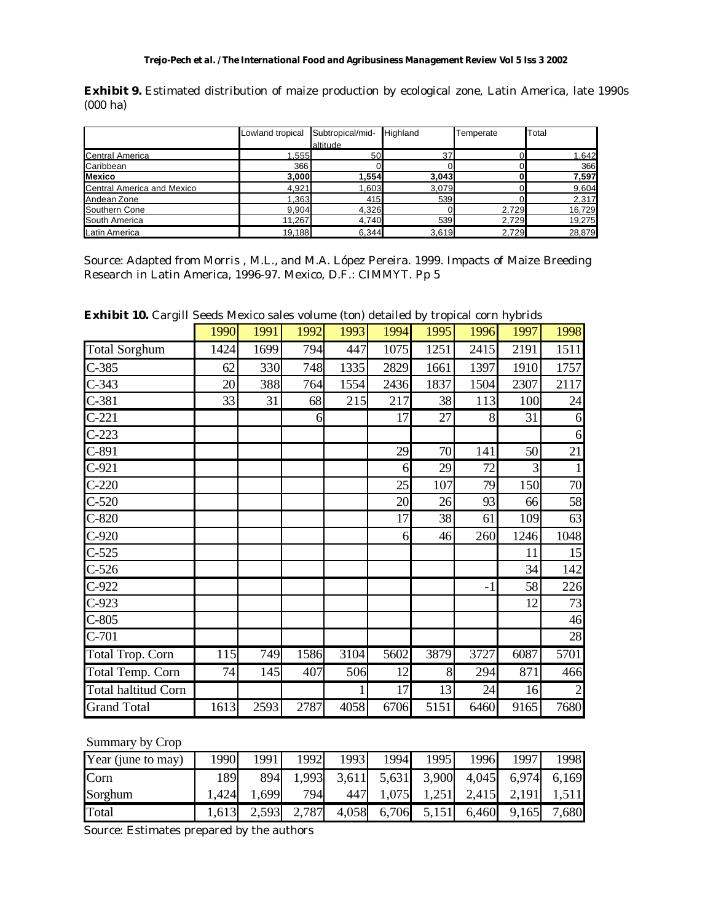**Exhibit 9.** Estimated distribution of maize production by ecological zone, Latin America, late 1990s (000 ha)

|                            | Lowland tropical | Subtropical/mid- | Highland | <b>Femperate</b> | Total  |
|----------------------------|------------------|------------------|----------|------------------|--------|
|                            |                  | altitude         |          |                  |        |
| <b>Central America</b>     | 1,555            | 50               | 37       |                  | 1,642  |
| Caribbean                  | 366              |                  |          |                  | 366    |
| <b>Mexico</b>              | 3,000            | 1,554            | 3,043    |                  | 7,597  |
| Central America and Mexico | 4,921            | 1,603            | 3,079    |                  | 9,604  |
| Andean Zone                | 1,363            | 415              | 539      |                  | 2,317  |
| Southern Cone              | 9,904            | 4,326            |          | 2,729            | 16,729 |
| South America              | 11,267           | 4,740            | 539      | 2,729            | 19,275 |
| Latin America              | 19,188           | 6,344            | 3,619    | 2,729            | 28,879 |

Source: Adapted from Morris , M.L., and M.A. López Pereira. 1999. Impacts of Maize Breeding Research in Latin America, 1996-97. Mexico, D.F.: CIMMYT. Pp 5

**Exhibit 10.** Cargill Seeds Mexico sales volume (ton) detailed by tropical corn hybrids

| $\cdots$ $\cdots$ $\alpha$ |      |      |      |              |      |      |      |      |      |
|----------------------------|------|------|------|--------------|------|------|------|------|------|
|                            | 1990 | 1991 | 1992 | 1993         | 1994 | 1995 | 1996 | 1997 | 1998 |
| <b>Total Sorghum</b>       | 1424 | 1699 | 794  | 447          | 1075 | 1251 | 2415 | 2191 | 1511 |
| $C-385$                    | 62   | 330  | 748  | 1335         | 2829 | 1661 | 1397 | 1910 | 1757 |
| $C-343$                    | 20   | 388  | 764  | 1554         | 2436 | 1837 | 1504 | 2307 | 2117 |
| $C-381$                    | 33   | 31   | 68   | 215          | 217  | 38   | 113  | 100  | 24   |
| $C-221$                    |      |      | 6    |              | 17   | 27   | 8    | 31   | 6    |
| $C-223$                    |      |      |      |              |      |      |      |      | 6    |
| $C-891$                    |      |      |      |              | 29   | 70   | 141  | 50   | 21   |
| $C-921$                    |      |      |      |              | 6    | 29   | 72   | 3    |      |
| $C-220$                    |      |      |      |              | 25   | 107  | 79   | 150  | 70   |
| $C-520$                    |      |      |      |              | 20   | 26   | 93   | 66   | 58   |
| $C-820$                    |      |      |      |              | 17   | 38   | 61   | 109  | 63   |
| $C-920$                    |      |      |      |              | 6    | 46   | 260  | 1246 | 1048 |
| $C-525$                    |      |      |      |              |      |      |      | 11   | 15   |
| $C-526$                    |      |      |      |              |      |      |      | 34   | 142  |
| $C-922$                    |      |      |      |              |      |      | -1   | 58   | 226  |
| $C-923$                    |      |      |      |              |      |      |      | 12   | 73   |
| $C-805$                    |      |      |      |              |      |      |      |      | 46   |
| $C-701$                    |      |      |      |              |      |      |      |      | 28   |
| <b>Total Trop. Corn</b>    | 115  | 749  | 1586 | 3104         | 5602 | 3879 | 3727 | 6087 | 5701 |
| Total Temp. Corn           | 74   | 145  | 407  | 506          | 12   | 8    | 294  | 871  | 466  |
| <b>Total haltitud Corn</b> |      |      |      | $\mathbf{1}$ | 17   | 13   | 24   | 16   |      |
| <b>Grand Total</b>         | 1613 | 2593 | 2787 | 4058         | 6706 | 5151 | 6460 | 9165 | 7680 |

Summary by Crop

| Year (june to may) | 1990  | 1991  | 1992  | 1993  | 1994  | 1995              | 1996  | 1997  | 1998  |
|--------------------|-------|-------|-------|-------|-------|-------------------|-------|-------|-------|
| <b>Corn</b>        | 1891  | 894   | 1,993 | 3,611 |       | 5,631 3,900 4,045 |       | 6,974 | 6,169 |
| Sorghum            | ,424  | 0.699 | 794   | 447   | 1,075 | 1,251             | 2,415 | 2,191 | 1,511 |
| Total              | 1,613 | 2,593 | 2,787 | 4,058 | 6,706 | 5,151             | 6,460 | 9,165 | 7,680 |

Source: Estimates prepared by the authors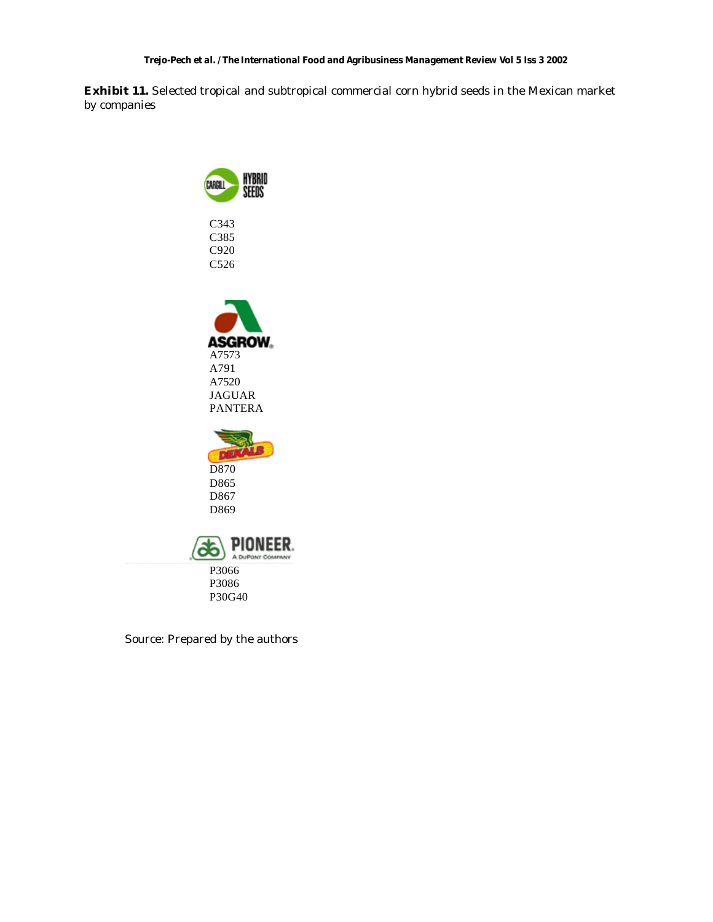#### *Trejo-Pech et al. / The International Food and Agribusiness Management Review Vol 5 Iss 3 2002*

**Exhibit 11.** Selected tropical and subtropical commercial corn hybrid seeds in the Mexican market by companies



Source: Prepared by the authors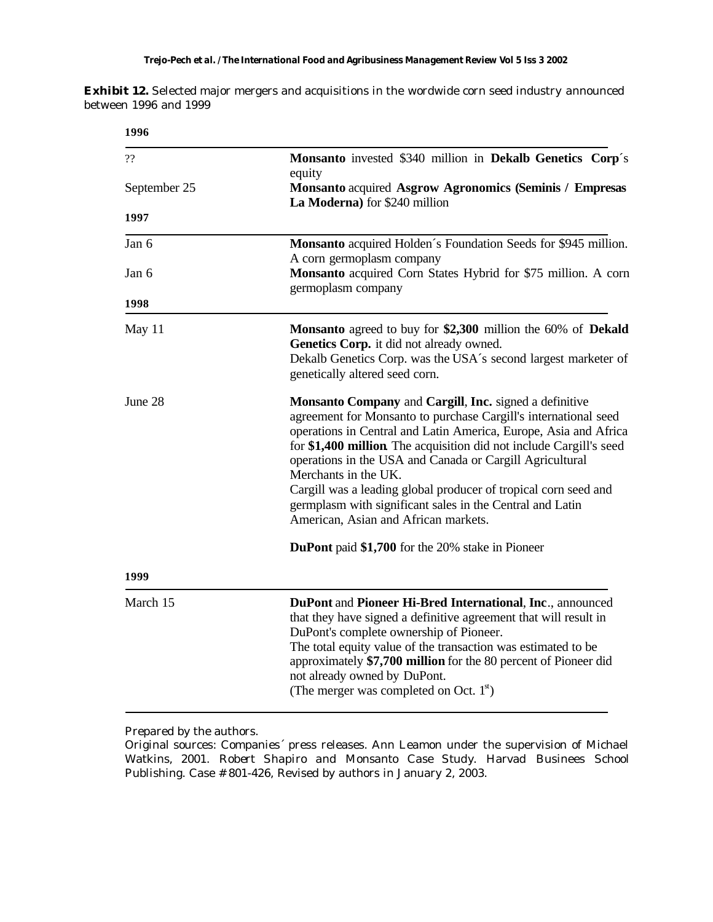#### *Trejo-Pech et al. / The International Food and Agribusiness Management Review Vol 5 Iss 3 2002*

**Exhibit 12.** Selected major mergers and acquisitions in the wordwide corn seed industry announced between 1996 and 1999

| 1996         |                                                                                                                                                                                                                                                                                                                                                                                                                                                                                                                                  |
|--------------|----------------------------------------------------------------------------------------------------------------------------------------------------------------------------------------------------------------------------------------------------------------------------------------------------------------------------------------------------------------------------------------------------------------------------------------------------------------------------------------------------------------------------------|
| ??           | Monsanto invested \$340 million in Dekalb Genetics Corp's<br>equity                                                                                                                                                                                                                                                                                                                                                                                                                                                              |
| September 25 | Monsanto acquired Asgrow Agronomics (Seminis / Empresas<br>La Moderna) for \$240 million                                                                                                                                                                                                                                                                                                                                                                                                                                         |
| 1997         |                                                                                                                                                                                                                                                                                                                                                                                                                                                                                                                                  |
| Jan 6        | Monsanto acquired Holden's Foundation Seeds for \$945 million.<br>A corn germoplasm company                                                                                                                                                                                                                                                                                                                                                                                                                                      |
| Jan 6        | Monsanto acquired Corn States Hybrid for \$75 million. A corn<br>germoplasm company                                                                                                                                                                                                                                                                                                                                                                                                                                              |
| 1998         |                                                                                                                                                                                                                                                                                                                                                                                                                                                                                                                                  |
| May 11       | Monsanto agreed to buy for \$2,300 million the 60% of Dekald<br>Genetics Corp. it did not already owned.<br>Dekalb Genetics Corp. was the USA's second largest marketer of<br>genetically altered seed corn.                                                                                                                                                                                                                                                                                                                     |
| June 28      | Monsanto Company and Cargill, Inc. signed a definitive<br>agreement for Monsanto to purchase Cargill's international seed<br>operations in Central and Latin America, Europe, Asia and Africa<br>for \$1,400 million. The acquisition did not include Cargill's seed<br>operations in the USA and Canada or Cargill Agricultural<br>Merchants in the UK.<br>Cargill was a leading global producer of tropical corn seed and<br>germplasm with significant sales in the Central and Latin<br>American, Asian and African markets. |
|              | <b>DuPont</b> paid \$1,700 for the 20% stake in Pioneer                                                                                                                                                                                                                                                                                                                                                                                                                                                                          |
| 1999         |                                                                                                                                                                                                                                                                                                                                                                                                                                                                                                                                  |
| March 15     | DuPont and Pioneer Hi-Bred International, Inc., announced<br>that they have signed a definitive agreement that will result in<br>DuPont's complete ownership of Pioneer.<br>The total equity value of the transaction was estimated to be<br>approximately \$7,700 million for the 80 percent of Pioneer did<br>not already owned by DuPont.<br>(The merger was completed on Oct. $1{st}$ )                                                                                                                                      |

Prepared by the authors.

Original sources: Companies´ press releases*.* Ann Leamon under the supervision of Michael Watkins, 2001. *Robert Shapiro and Monsanto Case Study.* Harvad Businees School Publishing. Case # 801-426, Revised by authors in January 2, 2003.